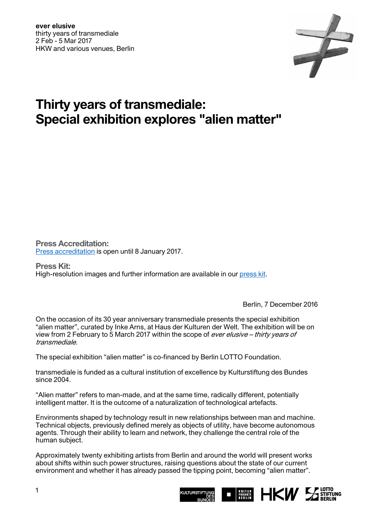

## **Thirty years of transmediale: Special exhibition explores "alien matter"**

**Press Accreditation:**  [Press accreditation](https://transmediale.de/festival/2017/press) is open until 8 January 2017.

**Press Kit:**  High-resolution images and further information are available in our [press kit.](https://transmediale.de/festival/2017/press)

Berlin, 7 December 2016

On the occasion of its 30 year anniversary transmediale presents the special exhibition "alien matter", curated by Inke Arns, at Haus der Kulturen der Welt. The exhibition will be on view from 2 February to 5 March 2017 within the scope of ever elusive – thirty years of transmediale.

The special exhibition "alien matter" is co-financed by Berlin LOTTO Foundation.

transmediale is funded as a cultural institution of excellence by Kulturstiftung des Bundes since 2004.

"Alien matter" refers to man-made, and at the same time, radically different, potentially intelligent matter. It is the outcome of a naturalization of technological artefacts.

Environments shaped by technology result in new relationships between man and machine. Technical objects, previously defined merely as objects of utility, have become autonomous agents. Through their ability to learn and network, they challenge the central role of the human subject.

Approximately twenty exhibiting artists from Berlin and around the world will present works about shifts within such power structures, raising questions about the state of our current environment and whether it has already passed the tipping point, becoming "alien matter".

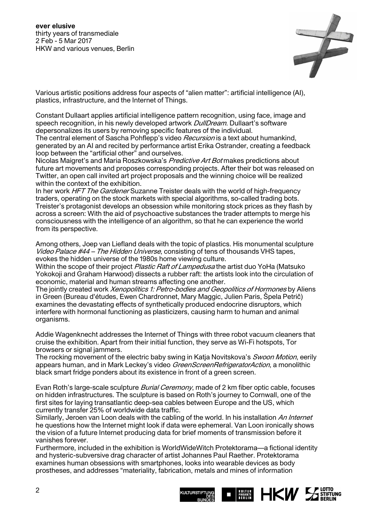

Various artistic positions address four aspects of "alien matter": artificial intelligence (AI), plastics, infrastructure, and the Internet of Things.

Constant Dullaart applies artificial intelligence pattern recognition, using face, image and speech recognition, in his newly developed artwork *DullDream*. Dullaart's software depersonalizes its users by removing specific features of the individual.

The central element of Sascha Pohflepp's video Recursion is a text about humankind, generated by an AI and recited by performance artist Erika Ostrander, creating a feedback loop between the "artificial other" and ourselves.

Nicolas Maigret's and Maria Roszkowska's Predictive Art Bot makes predictions about future art movements and proposes corresponding projects. After their bot was released on Twitter, an open call invited art project proposals and the winning choice will be realized within the context of the exhibition.

In her work *HFT The Gardener* Suzanne Treister deals with the world of high-frequency traders, operating on the stock markets with special algorithms, so-called trading bots. Treister's protagonist develops an obsession while monitoring stock prices as they flash by across a screen: With the aid of psychoactive substances the trader attempts to merge his consciousness with the intelligence of an algorithm, so that he can experience the world from its perspective.

Among others, Joep van Liefland deals with the topic of plastics. His monumental sculpture Video Palace #44 – The Hidden Universe, consisting of tens of thousands VHS tapes, evokes the hidden universe of the 1980s home viewing culture.

Within the scope of their project *Plastic Raft of Lampedusa* the artist duo YoHa (Matsuko Yokokoji and Graham Harwood) dissects a rubber raft: the artists look into the circulation of economic, material and human streams affecting one another.

The jointly created work Xenopolitics 1: Petro-bodies and Geopolitics of Hormones by Aliens in Green (Bureau d'études, Ewen Chardronnet, Mary Maggic, Julien Paris, Špela Petrič) examines the devastating effects of synthetically produced endocrine disruptors, which interfere with hormonal functioning as plasticizers, causing harm to human and animal organisms.

Addie Wagenknecht addresses the Internet of Things with three robot vacuum cleaners that cruise the exhibition. Apart from their initial function, they serve as Wi-Fi hotspots, Tor browsers or signal jammers.

The rocking movement of the electric baby swing in Katja Novitskova's Swoon Motion, eerily appears human, and in Mark Leckey's video GreenScreenRefrigeratorAction, a monolithic black smart fridge ponders about its existence in front of a green screen.

Evan Roth's large-scale sculpture *Burial Ceremony*, made of 2 km fiber optic cable, focuses on hidden infrastructures. The sculpture is based on Roth's journey to Cornwall, one of the first sites for laying transatlantic deep-sea cables between Europe and the US, which currently transfer 25% of worldwide data traffic.

Similarly, Jeroen van Loon deals with the cabling of the world. In his installation An Internet he questions how the Internet might look if data were ephemeral. Van Loon ironically shows the vision of a future Internet producing data for brief moments of transmission before it vanishes forever.

Furthermore, included in the exhibition is WorldWideWitch Protektorama—a fictional identity and hysteric-subversive drag character of artist Johannes Paul Raether. Protektorama examines human obsessions with smartphones, looks into wearable devices as body prostheses, and addresses "materiality, fabrication, metals and mines of information